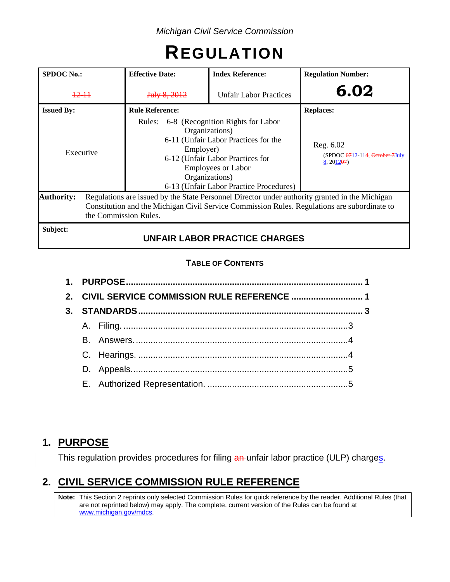# **REGULATION**

| <b>SPDOC</b> No.: |  | <b>Effective Date:</b>                                                                                                                                                                                                  | <b>Index Reference:</b>                                                                                                                                                                                                   | <b>Regulation Number:</b>                                |  |
|-------------------|--|-------------------------------------------------------------------------------------------------------------------------------------------------------------------------------------------------------------------------|---------------------------------------------------------------------------------------------------------------------------------------------------------------------------------------------------------------------------|----------------------------------------------------------|--|
| $12 - 11$         |  | July 8, 2012                                                                                                                                                                                                            | <b>Unfair Labor Practices</b>                                                                                                                                                                                             | 6.02                                                     |  |
| <b>Issued By:</b> |  | <b>Rule Reference:</b>                                                                                                                                                                                                  |                                                                                                                                                                                                                           | <b>Replaces:</b>                                         |  |
| Executive         |  | Rules:<br>Employer)                                                                                                                                                                                                     | 6-8 (Recognition Rights for Labor<br>Organizations)<br>6-11 (Unfair Labor Practices for the<br>6-12 (Unfair Labor Practices for<br><b>Employees or Labor</b><br>Organizations)<br>6-13 (Unfair Labor Practice Procedures) | Reg. 6.02<br>(SPDOC 0712-114, October 7July<br>8, 201207 |  |
| <b>Authority:</b> |  | Regulations are issued by the State Personnel Director under authority granted in the Michigan<br>Constitution and the Michigan Civil Service Commission Rules. Regulations are subordinate to<br>the Commission Rules. |                                                                                                                                                                                                                           |                                                          |  |
| Subject:          |  |                                                                                                                                                                                                                         | <b>UNFAIR LABOR PRACTICE CHARGES</b>                                                                                                                                                                                      |                                                          |  |

#### **TABLE OF CONTENTS**

| 2. CIVIL SERVICE COMMISSION RULE REFERENCE  1 |  |  |  |
|-----------------------------------------------|--|--|--|
|                                               |  |  |  |
|                                               |  |  |  |
|                                               |  |  |  |
|                                               |  |  |  |
|                                               |  |  |  |
|                                               |  |  |  |

# **1. PURPOSE**

This regulation provides procedures for filing an unfair labor practice (ULP) charges.

# **2. CIVIL SERVICE COMMISSION RULE REFERENCE**

**Note:** This Section 2 reprints only selected Commission Rules for quick reference by the reader. Additional Rules (that are not reprinted below) may apply. The complete, current version of the Rules can be found at [www.michigan.gov/mdcs.](http://www.michigan.gov/mdcs)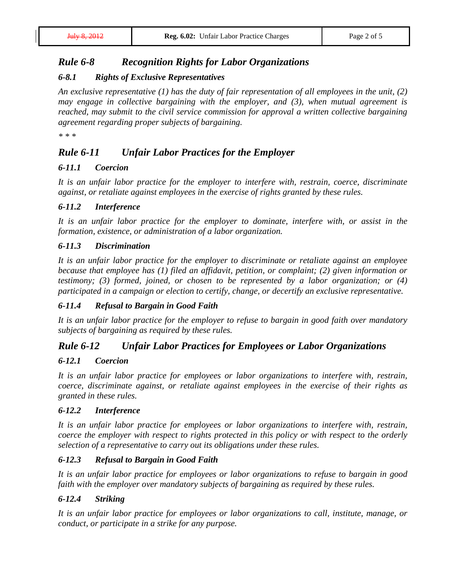## *Rule 6-8 Recognition Rights for Labor Organizations*

#### *6-8.1 Rights of Exclusive Representatives*

*An exclusive representative (1) has the duty of fair representation of all employees in the unit, (2) may engage in collective bargaining with the employer, and (3), when mutual agreement is reached, may submit to the civil service commission for approval a written collective bargaining agreement regarding proper subjects of bargaining.*

*\* \* \**

# *Rule 6-11 Unfair Labor Practices for the Employer*

#### *6-11.1 Coercion*

*It is an unfair labor practice for the employer to interfere with, restrain, coerce, discriminate against, or retaliate against employees in the exercise of rights granted by these rules.*

#### *6-11.2 Interference*

*It is an unfair labor practice for the employer to dominate, interfere with, or assist in the formation, existence, or administration of a labor organization.*

#### *6-11.3 Discrimination*

*It is an unfair labor practice for the employer to discriminate or retaliate against an employee because that employee has (1) filed an affidavit, petition, or complaint; (2) given information or testimony; (3) formed, joined, or chosen to be represented by a labor organization; or (4) participated in a campaign or election to certify, change, or decertify an exclusive representative.*

#### *6-11.4 Refusal to Bargain in Good Faith*

*It is an unfair labor practice for the employer to refuse to bargain in good faith over mandatory subjects of bargaining as required by these rules.*

## *Rule 6-12 Unfair Labor Practices for Employees or Labor Organizations*

#### *6-12.1 Coercion*

*It is an unfair labor practice for employees or labor organizations to interfere with, restrain, coerce, discriminate against, or retaliate against employees in the exercise of their rights as granted in these rules.*

#### *6-12.2 Interference*

*It is an unfair labor practice for employees or labor organizations to interfere with, restrain, coerce the employer with respect to rights protected in this policy or with respect to the orderly selection of a representative to carry out its obligations under these rules.*

#### *6-12.3 Refusal to Bargain in Good Faith*

*It is an unfair labor practice for employees or labor organizations to refuse to bargain in good faith with the employer over mandatory subjects of bargaining as required by these rules.*

#### *6-12.4 Striking*

*It is an unfair labor practice for employees or labor organizations to call, institute, manage, or conduct, or participate in a strike for any purpose.*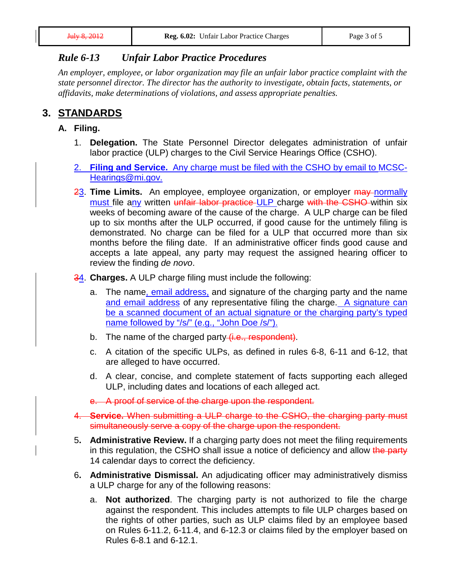## *Rule 6-13 Unfair Labor Practice Procedures*

*An employer, employee, or labor organization may file an unfair labor practice complaint with the state personnel director. The director has the authority to investigate, obtain facts, statements, or affidavits, make determinations of violations, and assess appropriate penalties.*

# **3. STANDARDS**

- **A. Filing.**
	- 1. **Delegation.** The State Personnel Director delegates administration of unfair labor practice (ULP) charges to the Civil Service Hearings Office (CSHO).
	- 2. **Filing and Service.** Any charge must be filed with the CSHO by email to [MCSC-](mailto:MCSC-Hearings@mi.gov)[Hearings@mi.gov.](mailto:MCSC-Hearings@mi.gov)
	- 23. **Time Limits.** An employee, employee organization, or employer may normally must file any written unfair labor practice ULP charge with the CSHO within six weeks of becoming aware of the cause of the charge. A ULP charge can be filed up to six months after the ULP occurred, if good cause for the untimely filing is demonstrated. No charge can be filed for a ULP that occurred more than six months before the filing date. If an administrative officer finds good cause and accepts a late appeal, any party may request the assigned hearing officer to review the finding *de novo*.
	- 34. **Charges.** A ULP charge filing must include the following:
		- a. The name, email address, and signature of the charging party and the name and email address of any representative filing the charge. A signature can be a scanned document of an actual signature or the charging party's typed name followed by "/s/" (e.g., "John Doe /s/").
		- b. The name of the charged party (i.e., respondent).
		- c. A citation of the specific ULPs, as defined in rules 6-8, 6-11 and 6-12, that are alleged to have occurred.
		- d. A clear, concise, and complete statement of facts supporting each alleged ULP, including dates and locations of each alleged act.
		- e. A proof of service of the charge upon the respondent.
	- 4. **Service.** When submitting a ULP charge to the CSHO, the charging party must simultaneously serve a copy of the charge upon the respondent.
	- 5**. Administrative Review.** If a charging party does not meet the filing requirements in this regulation, the CSHO shall issue a notice of deficiency and allow the party 14 calendar days to correct the deficiency.
	- 6**. Administrative Dismissal.** An adjudicating officer may administratively dismiss a ULP charge for any of the following reasons:
		- a. **Not authorized**. The charging party is not authorized to file the charge against the respondent. This includes attempts to file ULP charges based on the rights of other parties, such as ULP claims filed by an employee based on Rules 6-11.2, 6-11.4, and 6-12.3 or claims filed by the employer based on Rules 6-8.1 and 6-12.1.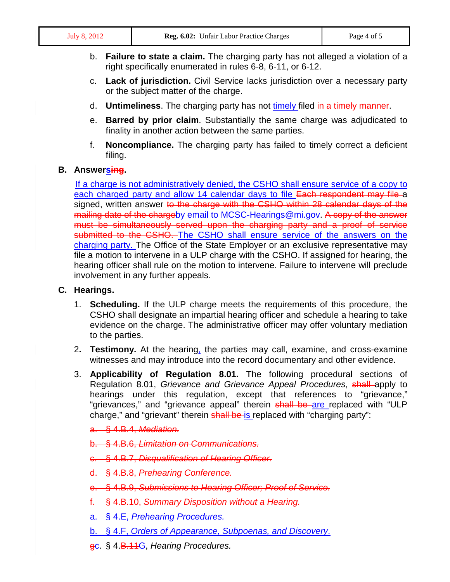- b. **Failure to state a claim.** The charging party has not alleged a violation of a right specifically enumerated in rules 6-8, 6-11, or 6-12.
- c. **Lack of jurisdiction.** Civil Service lacks jurisdiction over a necessary party or the subject matter of the charge.
- d. **Untimeliness**. The charging party has not timely filed in a timely manner.
- e. **Barred by prior claim**. Substantially the same charge was adjudicated to finality in another action between the same parties.
- f. **Noncompliance.** The charging party has failed to timely correct a deficient filing.

#### **B. Answersing.**

If a charge is not administratively denied, the CSHO shall ensure service of a copy to each charged party and allow 14 calendar days to file Each respondent may file a signed, written answer to the charge with the CSHO within 28 calendar days of the mailing date of the chargeby email to [MCSC-Hearings@mi.gov.](mailto:MCSC-Hearings@mi.gov) A copy of the answer must be simultaneously served upon the charging party and a proof of service submitted to the CSHO. The CSHO shall ensure service of the answers on the charging party. The Office of the State Employer or an exclusive representative may file a motion to intervene in a ULP charge with the CSHO. If assigned for hearing, the hearing officer shall rule on the motion to intervene. Failure to intervene will preclude involvement in any further appeals.

#### **C. Hearings.**

- 1. **Scheduling.** If the ULP charge meets the requirements of this procedure, the CSHO shall designate an impartial hearing officer and schedule a hearing to take evidence on the charge. The administrative officer may offer voluntary mediation to the parties.
- 2**. Testimony.** At the hearing, the parties may call, examine, and cross-examine witnesses and may introduce into the record documentary and other evidence.
- 3. **Applicability of Regulation 8.01.** The following procedural sections of Regulation 8.01, *Grievance and Grievance Appeal Procedures*, shall apply to hearings under this regulation, except that references to "grievance," "grievances," and "grievance appeal" therein shall be are replaced with "ULP charge," and "grievant" therein shall be is replaced with "charging party":

a. § 4.B.4, *Mediation.*

- b. § 4.B.6, *Limitation on Communications.*
- c. § 4.B.7, *Disqualification of Hearing Officer.*
- d. § 4.B.8, *Prehearing Conference.*
- e. § 4.B.9, *Submissions to Hearing Officer; Proof of Service.*
- f. § 4.B.10, *Summary Disposition without a Hearing.*
- a. § 4.E, *Prehearing Procedures.*
- b. § 4.F, *Orders of Appearance, Subpoenas, and Discovery*.
- gc. § 4.B.11G, *Hearing Procedures.*